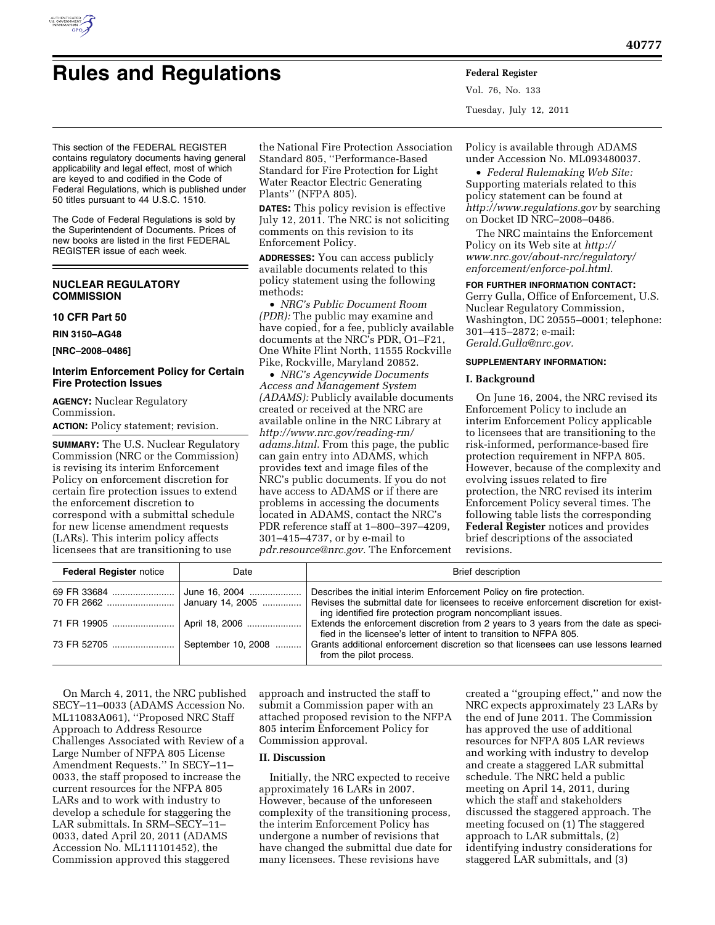

# **Rules and Regulations Federal Register**

Vol. 76, No. 133 Tuesday, July 12, 2011

This section of the FEDERAL REGISTER contains regulatory documents having general applicability and legal effect, most of which are keyed to and codified in the Code of Federal Regulations, which is published under 50 titles pursuant to 44 U.S.C. 1510.

The Code of Federal Regulations is sold by the Superintendent of Documents. Prices of new books are listed in the first FEDERAL REGISTER issue of each week.

# **NUCLEAR REGULATORY COMMISSION**

## **10 CFR Part 50**

**RIN 3150–AG48** 

**[NRC–2008–0486]** 

# **Interim Enforcement Policy for Certain Fire Protection Issues**

**AGENCY:** Nuclear Regulatory Commission. **ACTION:** Policy statement; revision.

**SUMMARY:** The U.S. Nuclear Regulatory Commission (NRC or the Commission) is revising its interim Enforcement Policy on enforcement discretion for certain fire protection issues to extend the enforcement discretion to correspond with a submittal schedule for new license amendment requests (LARs). This interim policy affects licensees that are transitioning to use

the National Fire Protection Association Standard 805, ''Performance-Based Standard for Fire Protection for Light Water Reactor Electric Generating Plants'' (NFPA 805).

**DATES:** This policy revision is effective July 12, 2011. The NRC is not soliciting comments on this revision to its Enforcement Policy.

**ADDRESSES:** You can access publicly available documents related to this policy statement using the following methods:

• *NRC's Public Document Room (PDR):* The public may examine and have copied, for a fee, publicly available documents at the NRC's PDR, O1–F21, One White Flint North, 11555 Rockville Pike, Rockville, Maryland 20852.

• *NRC's Agencywide Documents Access and Management System (ADAMS):* Publicly available documents created or received at the NRC are available online in the NRC Library at *[http://www.nrc.gov/reading-rm/](http://www.nrc.gov/reading-rm/adams.html)  [adams.html.](http://www.nrc.gov/reading-rm/adams.html)* From this page, the public can gain entry into ADAMS, which provides text and image files of the NRC's public documents. If you do not have access to ADAMS or if there are problems in accessing the documents located in ADAMS, contact the NRC's PDR reference staff at 1–800–397–4209, 301–415–4737, or by e-mail to *[pdr.resource@nrc.gov.](mailto:pdr.resource@nrc.gov)* The Enforcement

Policy is available through ADAMS under Accession No. ML093480037.

• *Federal Rulemaking Web Site:*  Supporting materials related to this policy statement can be found at *<http://www.regulations.gov>* by searching on Docket ID NRC–2008–0486.

The NRC maintains the Enforcement Policy on its Web site at *[http://](http://www.nrc.gov/about-nrc/regulatory/enforcement/enforce-pol.html) [www.nrc.gov/about-nrc/regulatory/](http://www.nrc.gov/about-nrc/regulatory/enforcement/enforce-pol.html)  [enforcement/enforce-pol.html.](http://www.nrc.gov/about-nrc/regulatory/enforcement/enforce-pol.html)* 

# **FOR FURTHER INFORMATION CONTACT:**

Gerry Gulla, Office of Enforcement, U.S. Nuclear Regulatory Commission, Washington, DC 20555–0001; telephone: 301–415–2872; e-mail: *[Gerald.Gulla@nrc.gov.](mailto:Gerald.Gulla@nrc.gov)* 

## **SUPPLEMENTARY INFORMATION:**

## **I. Background**

On June 16, 2004, the NRC revised its Enforcement Policy to include an interim Enforcement Policy applicable to licensees that are transitioning to the risk-informed, performance-based fire protection requirement in NFPA 805. However, because of the complexity and evolving issues related to fire protection, the NRC revised its interim Enforcement Policy several times. The following table lists the corresponding **Federal Register** notices and provides brief descriptions of the associated revisions.

| <b>Federal Register notice</b>  | Date | <b>Brief description</b>                                                                                                                                 |
|---------------------------------|------|----------------------------------------------------------------------------------------------------------------------------------------------------------|
|                                 |      | Describes the initial interim Enforcement Policy on fire protection.                                                                                     |
|                                 |      | ing identified fire protection program noncompliant issues.                                                                                              |
|                                 |      | Extends the enforcement discretion from 2 years to 3 years from the date as speci-<br>fied in the licensee's letter of intent to transition to NFPA 805. |
| 73 FR 52705  September 10, 2008 |      | Grants additional enforcement discretion so that licensees can use lessons learned<br>from the pilot process.                                            |

On March 4, 2011, the NRC published SECY–11–0033 (ADAMS Accession No. ML11083A061), ''Proposed NRC Staff Approach to Address Resource Challenges Associated with Review of a Large Number of NFPA 805 License Amendment Requests.'' In SECY–11– 0033, the staff proposed to increase the current resources for the NFPA 805 LARs and to work with industry to develop a schedule for staggering the LAR submittals. In SRM–SECY–11– 0033, dated April 20, 2011 (ADAMS Accession No. ML111101452), the Commission approved this staggered

approach and instructed the staff to submit a Commission paper with an attached proposed revision to the NFPA 805 interim Enforcement Policy for Commission approval.

# **II. Discussion**

Initially, the NRC expected to receive approximately 16 LARs in 2007. However, because of the unforeseen complexity of the transitioning process, the interim Enforcement Policy has undergone a number of revisions that have changed the submittal due date for many licensees. These revisions have

created a ''grouping effect,'' and now the NRC expects approximately 23 LARs by the end of June 2011. The Commission has approved the use of additional resources for NFPA 805 LAR reviews and working with industry to develop and create a staggered LAR submittal schedule. The NRC held a public meeting on April 14, 2011, during which the staff and stakeholders discussed the staggered approach. The meeting focused on (1) The staggered approach to LAR submittals, (2) identifying industry considerations for staggered LAR submittals, and (3)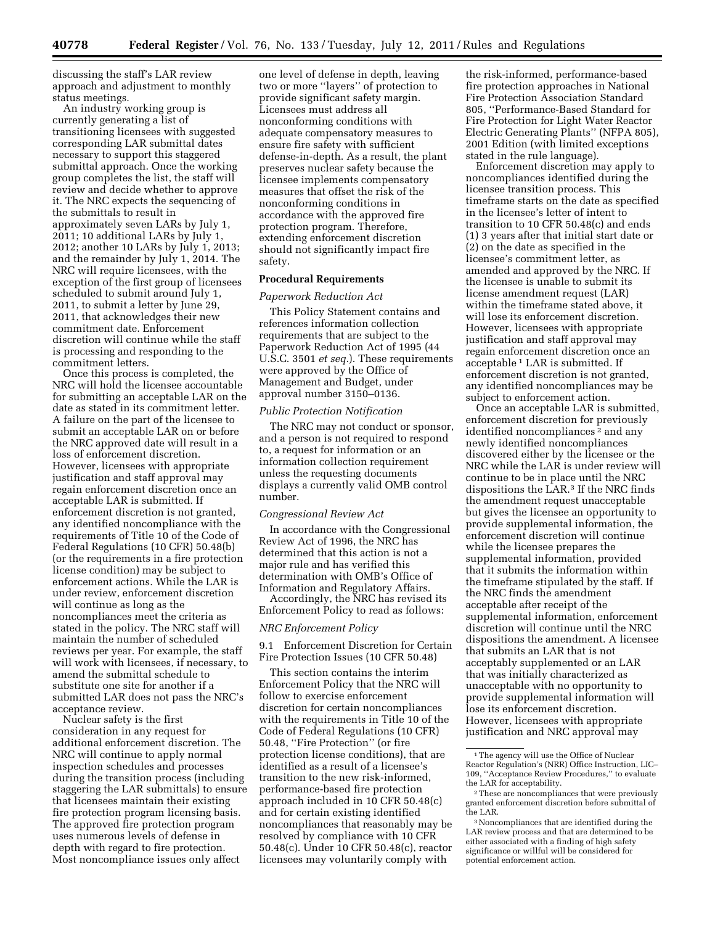discussing the staff's LAR review approach and adjustment to monthly status meetings.

An industry working group is currently generating a list of transitioning licensees with suggested corresponding LAR submittal dates necessary to support this staggered submittal approach. Once the working group completes the list, the staff will review and decide whether to approve it. The NRC expects the sequencing of the submittals to result in approximately seven LARs by July 1, 2011; 10 additional LARs by July 1, 2012; another 10 LARs by July 1, 2013; and the remainder by July 1, 2014. The NRC will require licensees, with the exception of the first group of licensees scheduled to submit around July 1, 2011, to submit a letter by June 29, 2011, that acknowledges their new commitment date. Enforcement discretion will continue while the staff is processing and responding to the commitment letters.

Once this process is completed, the NRC will hold the licensee accountable for submitting an acceptable LAR on the date as stated in its commitment letter. A failure on the part of the licensee to submit an acceptable LAR on or before the NRC approved date will result in a loss of enforcement discretion. However, licensees with appropriate justification and staff approval may regain enforcement discretion once an acceptable LAR is submitted. If enforcement discretion is not granted, any identified noncompliance with the requirements of Title 10 of the Code of Federal Regulations (10 CFR) 50.48(b) (or the requirements in a fire protection license condition) may be subject to enforcement actions. While the LAR is under review, enforcement discretion will continue as long as the noncompliances meet the criteria as stated in the policy. The NRC staff will maintain the number of scheduled reviews per year. For example, the staff will work with licensees, if necessary, to amend the submittal schedule to substitute one site for another if a submitted LAR does not pass the NRC's acceptance review.

Nuclear safety is the first consideration in any request for additional enforcement discretion. The NRC will continue to apply normal inspection schedules and processes during the transition process (including staggering the LAR submittals) to ensure that licensees maintain their existing fire protection program licensing basis. The approved fire protection program uses numerous levels of defense in depth with regard to fire protection. Most noncompliance issues only affect

one level of defense in depth, leaving two or more ''layers'' of protection to provide significant safety margin. Licensees must address all nonconforming conditions with adequate compensatory measures to ensure fire safety with sufficient defense-in-depth. As a result, the plant preserves nuclear safety because the licensee implements compensatory measures that offset the risk of the nonconforming conditions in accordance with the approved fire protection program. Therefore, extending enforcement discretion should not significantly impact fire safety.

## **Procedural Requirements**

#### *Paperwork Reduction Act*

This Policy Statement contains and references information collection requirements that are subject to the Paperwork Reduction Act of 1995 (44 U.S.C. 3501 *et seq.*). These requirements were approved by the Office of Management and Budget, under approval number 3150–0136.

#### *Public Protection Notification*

The NRC may not conduct or sponsor, and a person is not required to respond to, a request for information or an information collection requirement unless the requesting documents displays a currently valid OMB control number.

## *Congressional Review Act*

In accordance with the Congressional Review Act of 1996, the NRC has determined that this action is not a major rule and has verified this determination with OMB's Office of Information and Regulatory Affairs.

Accordingly, the NRC has revised its Enforcement Policy to read as follows:

## *NRC Enforcement Policy*

9.1 Enforcement Discretion for Certain Fire Protection Issues (10 CFR 50.48)

This section contains the interim Enforcement Policy that the NRC will follow to exercise enforcement discretion for certain noncompliances with the requirements in Title 10 of the Code of Federal Regulations (10 CFR) 50.48, ''Fire Protection'' (or fire protection license conditions), that are identified as a result of a licensee's transition to the new risk-informed, performance-based fire protection approach included in 10 CFR 50.48(c) and for certain existing identified noncompliances that reasonably may be resolved by compliance with 10 CFR 50.48(c). Under 10 CFR 50.48(c), reactor licensees may voluntarily comply with

the risk-informed, performance-based fire protection approaches in National Fire Protection Association Standard 805, ''Performance-Based Standard for Fire Protection for Light Water Reactor Electric Generating Plants'' (NFPA 805), 2001 Edition (with limited exceptions stated in the rule language).

Enforcement discretion may apply to noncompliances identified during the licensee transition process. This timeframe starts on the date as specified in the licensee's letter of intent to transition to 10 CFR 50.48(c) and ends (1) 3 years after that initial start date or (2) on the date as specified in the licensee's commitment letter, as amended and approved by the NRC. If the licensee is unable to submit its license amendment request (LAR) within the timeframe stated above, it will lose its enforcement discretion. However, licensees with appropriate justification and staff approval may regain enforcement discretion once an acceptable 1 LAR is submitted. If enforcement discretion is not granted, any identified noncompliances may be subject to enforcement action.

Once an acceptable LAR is submitted, enforcement discretion for previously identified noncompliances 2 and any newly identified noncompliances discovered either by the licensee or the NRC while the LAR is under review will continue to be in place until the NRC dispositions the LAR.3 If the NRC finds the amendment request unacceptable but gives the licensee an opportunity to provide supplemental information, the enforcement discretion will continue while the licensee prepares the supplemental information, provided that it submits the information within the timeframe stipulated by the staff. If the NRC finds the amendment acceptable after receipt of the supplemental information, enforcement discretion will continue until the NRC dispositions the amendment. A licensee that submits an LAR that is not acceptably supplemented or an LAR that was initially characterized as unacceptable with no opportunity to provide supplemental information will lose its enforcement discretion. However, licensees with appropriate justification and NRC approval may

<sup>1</sup>The agency will use the Office of Nuclear Reactor Regulation's (NRR) Office Instruction, LIC– 109, ''Acceptance Review Procedures,'' to evaluate the LAR for acceptability.

<sup>2</sup>These are noncompliances that were previously granted enforcement discretion before submittal of the LAR.

<sup>3</sup>Noncompliances that are identified during the LAR review process and that are determined to be either associated with a finding of high safety significance or willful will be considered for potential enforcement action.